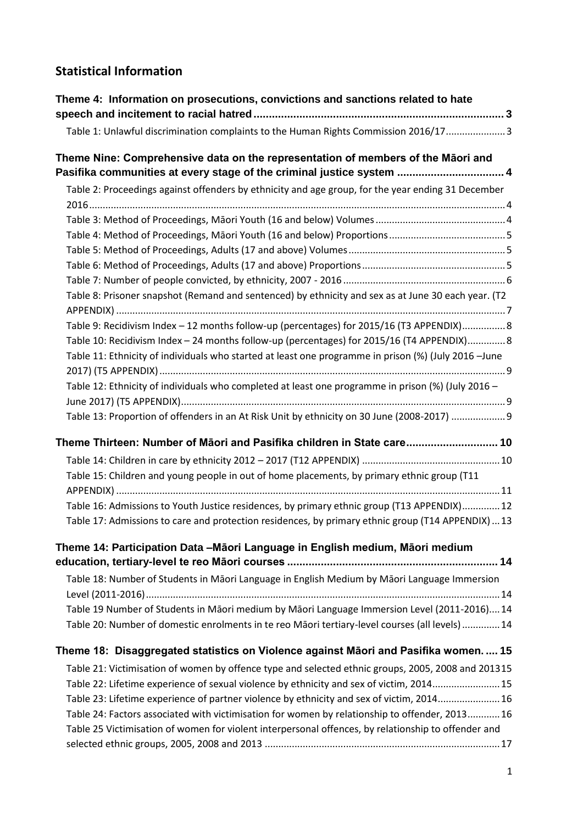## **Statistical Information**

| Theme 4: Information on prosecutions, convictions and sanctions related to hate                                                                           |  |
|-----------------------------------------------------------------------------------------------------------------------------------------------------------|--|
| Table 1: Unlawful discrimination complaints to the Human Rights Commission 2016/173                                                                       |  |
| Theme Nine: Comprehensive data on the representation of members of the Māori and<br>Pasifika communities at every stage of the criminal justice system  4 |  |
| Table 2: Proceedings against offenders by ethnicity and age group, for the year ending 31 December                                                        |  |
|                                                                                                                                                           |  |
|                                                                                                                                                           |  |
|                                                                                                                                                           |  |
|                                                                                                                                                           |  |
|                                                                                                                                                           |  |
| Table 8: Prisoner snapshot (Remand and sentenced) by ethnicity and sex as at June 30 each year. (T2                                                       |  |
|                                                                                                                                                           |  |
| Table 9: Recidivism Index - 12 months follow-up (percentages) for 2015/16 (T3 APPENDIX) 8                                                                 |  |
| Table 10: Recidivism Index - 24 months follow-up (percentages) for 2015/16 (T4 APPENDIX) 8                                                                |  |
| Table 11: Ethnicity of individuals who started at least one programme in prison (%) (July 2016 -June                                                      |  |
| Table 12: Ethnicity of individuals who completed at least one programme in prison (%) (July 2016 -                                                        |  |
|                                                                                                                                                           |  |
| Table 13: Proportion of offenders in an At Risk Unit by ethnicity on 30 June (2008-2017)  9                                                               |  |
| Theme Thirteen: Number of Māori and Pasifika children in State care 10                                                                                    |  |
|                                                                                                                                                           |  |
| Table 15: Children and young people in out of home placements, by primary ethnic group (T11                                                               |  |
|                                                                                                                                                           |  |
| Table 16: Admissions to Youth Justice residences, by primary ethnic group (T13 APPENDIX) 12                                                               |  |
| Table 17: Admissions to care and protection residences, by primary ethnic group (T14 APPENDIX)  13                                                        |  |
| Theme 14: Participation Data -Māori Language in English medium, Māori medium                                                                              |  |
|                                                                                                                                                           |  |
| Table 18: Number of Students in Māori Language in English Medium by Māori Language Immersion                                                              |  |
|                                                                                                                                                           |  |
| Table 19 Number of Students in Māori medium by Māori Language Immersion Level (2011-2016) 14                                                              |  |
| Table 20: Number of domestic enrolments in te reo Māori tertiary-level courses (all levels)  14                                                           |  |
| Theme 18: Disaggregated statistics on Violence against Māori and Pasifika women.  15                                                                      |  |
| Table 21: Victimisation of women by offence type and selected ethnic groups, 2005, 2008 and 201315                                                        |  |
| Table 22: Lifetime experience of sexual violence by ethnicity and sex of victim, 2014 15                                                                  |  |
| Table 23: Lifetime experience of partner violence by ethnicity and sex of victim, 2014 16                                                                 |  |
| Table 24: Factors associated with victimisation for women by relationship to offender, 2013 16                                                            |  |
| Table 25 Victimisation of women for violent interpersonal offences, by relationship to offender and                                                       |  |
|                                                                                                                                                           |  |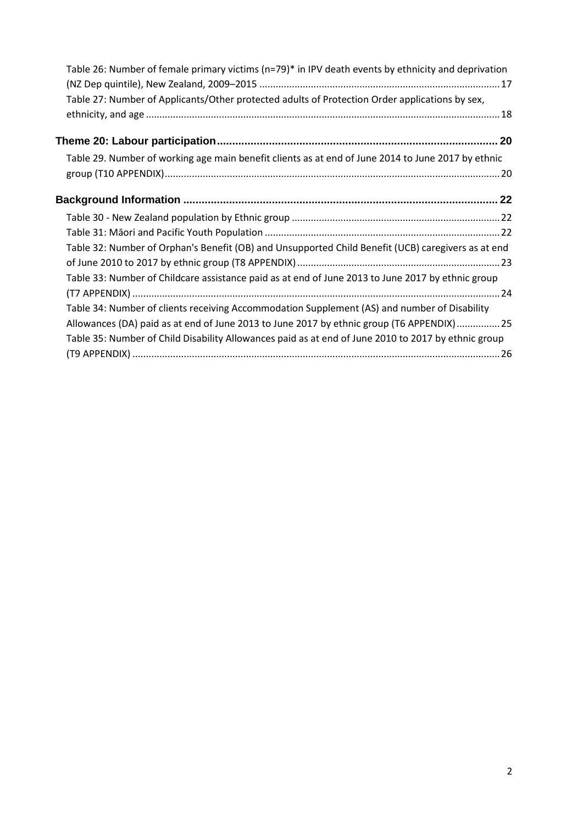| Table 26: Number of female primary victims (n=79)* in IPV death events by ethnicity and deprivation |
|-----------------------------------------------------------------------------------------------------|
|                                                                                                     |
| Table 27: Number of Applicants/Other protected adults of Protection Order applications by sex,      |
|                                                                                                     |
| 20                                                                                                  |
| Table 29. Number of working age main benefit clients as at end of June 2014 to June 2017 by ethnic  |
|                                                                                                     |
|                                                                                                     |
|                                                                                                     |
|                                                                                                     |
| Table 32: Number of Orphan's Benefit (OB) and Unsupported Child Benefit (UCB) caregivers as at end  |
|                                                                                                     |
| Table 33: Number of Childcare assistance paid as at end of June 2013 to June 2017 by ethnic group   |
|                                                                                                     |
| Table 34: Number of clients receiving Accommodation Supplement (AS) and number of Disability        |
| Allowances (DA) paid as at end of June 2013 to June 2017 by ethnic group (T6 APPENDIX) 25           |
| Table 35: Number of Child Disability Allowances paid as at end of June 2010 to 2017 by ethnic group |
|                                                                                                     |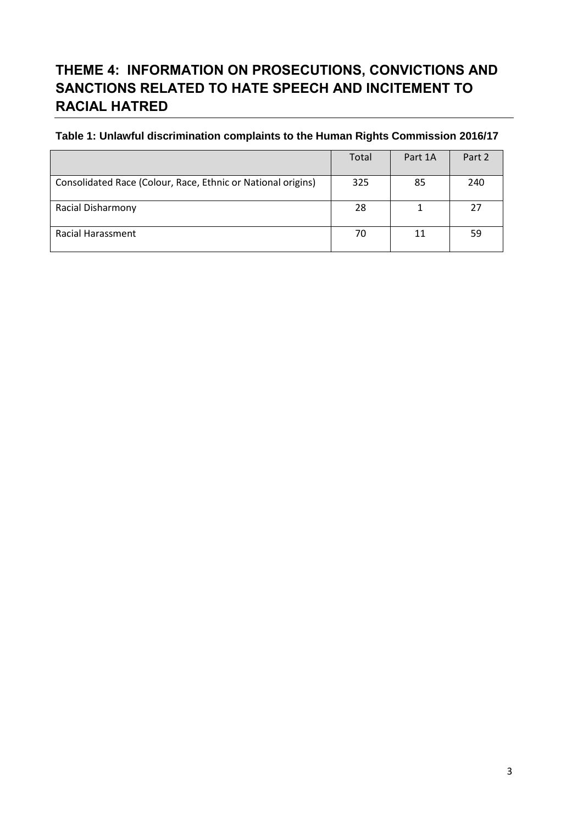# <span id="page-2-0"></span>**THEME 4: INFORMATION ON PROSECUTIONS, CONVICTIONS AND SANCTIONS RELATED TO HATE SPEECH AND INCITEMENT TO RACIAL HATRED**

### <span id="page-2-1"></span>**Table 1: Unlawful discrimination complaints to the Human Rights Commission 2016/17**

|                                                              | Total | Part 1A | Part 2 |
|--------------------------------------------------------------|-------|---------|--------|
| Consolidated Race (Colour, Race, Ethnic or National origins) | 325   | 85      | 240    |
| <b>Racial Disharmony</b>                                     | -28   |         | 27     |
| <b>Racial Harassment</b>                                     | 70    | 11      | 59     |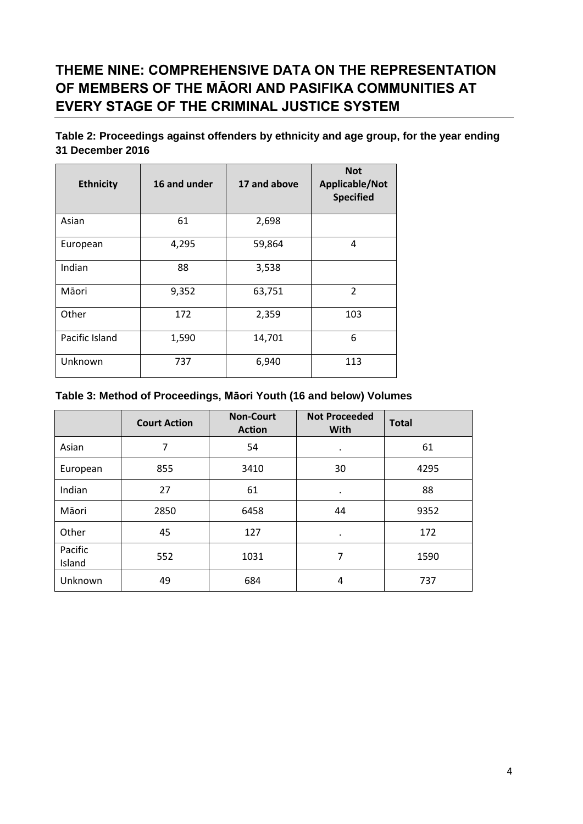## <span id="page-3-0"></span>**THEME NINE: COMPREHENSIVE DATA ON THE REPRESENTATION OF MEMBERS OF THE MĀORI AND PASIFIKA COMMUNITIES AT EVERY STAGE OF THE CRIMINAL JUSTICE SYSTEM**

<span id="page-3-1"></span>**Table 2: Proceedings against offenders by ethnicity and age group, for the year ending 31 December 2016**

| <b>Ethnicity</b> | 16 and under | 17 and above | <b>Not</b><br>Applicable/Not<br><b>Specified</b> |
|------------------|--------------|--------------|--------------------------------------------------|
| Asian            | 61           | 2,698        |                                                  |
| European         | 4,295        | 59,864       | 4                                                |
| Indian           | 88           | 3,538        |                                                  |
| Māori            | 9,352        | 63,751       | $\overline{2}$                                   |
| Other            | 172          | 2,359        | 103                                              |
| Pacific Island   | 1,590        | 14,701       | 6                                                |
| Unknown          | 737          | 6,940        | 113                                              |

#### <span id="page-3-2"></span>**Table 3: Method of Proceedings, Māori Youth (16 and below) Volumes**

|                   | <b>Court Action</b> | <b>Non-Court</b><br><b>Action</b> | <b>Not Proceeded</b><br><b>With</b> | <b>Total</b> |
|-------------------|---------------------|-----------------------------------|-------------------------------------|--------------|
| Asian             | 7                   | 54                                | ٠                                   | 61           |
| European          | 855                 | 3410                              | 30                                  | 4295         |
| Indian            | 27                  | 61                                | $\bullet$                           | 88           |
| Māori             | 2850                | 6458                              | 44                                  | 9352         |
| Other             | 45                  | 127                               |                                     | 172          |
| Pacific<br>Island | 552                 | 1031                              | 7                                   | 1590         |
| Unknown           | 49                  | 684                               | 4                                   | 737          |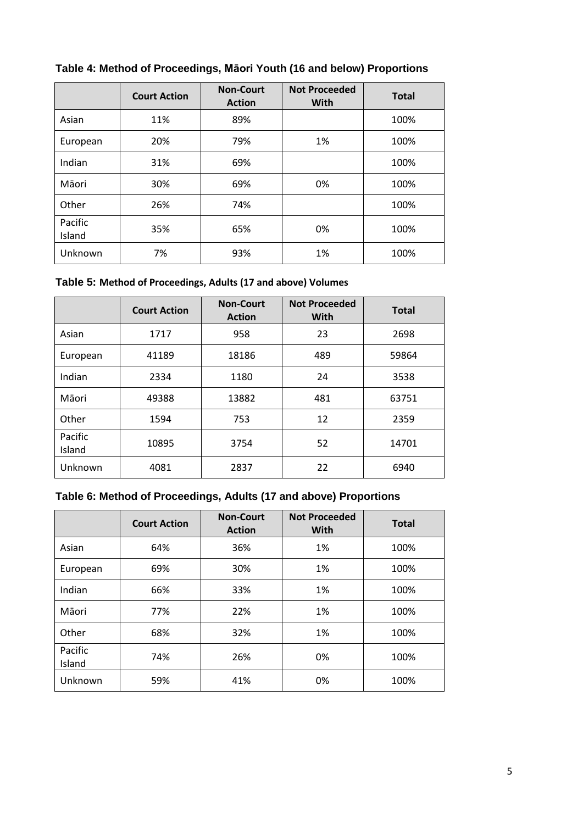|                   | <b>Court Action</b> | <b>Non-Court</b><br><b>Action</b> | <b>Not Proceeded</b><br><b>With</b> | <b>Total</b> |
|-------------------|---------------------|-----------------------------------|-------------------------------------|--------------|
| Asian             | 11%                 | 89%                               |                                     | 100%         |
| European          | 20%                 | 79%                               | 1%                                  | 100%         |
| Indian            | 31%                 | 69%                               |                                     | 100%         |
| Māori             | 30%                 | 69%                               | 0%                                  | 100%         |
| Other             | 26%                 | 74%                               |                                     | 100%         |
| Pacific<br>Island | 35%                 | 65%                               | 0%                                  | 100%         |
| Unknown           | 7%                  | 93%                               | 1%                                  | 100%         |

### <span id="page-4-0"></span>**Table 4: Method of Proceedings, Māori Youth (16 and below) Proportions**

#### <span id="page-4-1"></span>**Table 5: Method of Proceedings, Adults (17 and above) Volumes**

|                   | <b>Non-Court</b><br><b>Court Action</b><br><b>Action</b> |       | <b>Not Proceeded</b><br><b>With</b> | <b>Total</b> |
|-------------------|----------------------------------------------------------|-------|-------------------------------------|--------------|
| Asian             | 1717                                                     | 958   | 23                                  | 2698         |
| European          | 41189                                                    | 18186 | 489                                 | 59864        |
| Indian            | 2334                                                     | 1180  | 24                                  | 3538         |
| Māori             | 49388                                                    | 13882 | 481                                 | 63751        |
| Other             | 1594                                                     | 753   | 12                                  | 2359         |
| Pacific<br>Island | 10895                                                    | 3754  | 52                                  | 14701        |
| Unknown           | 4081                                                     | 2837  | 22                                  | 6940         |

## <span id="page-4-2"></span>**Table 6: Method of Proceedings, Adults (17 and above) Proportions**

|                   | <b>Court Action</b> | <b>Non-Court</b><br><b>Action</b> | <b>Not Proceeded</b><br>With | <b>Total</b> |
|-------------------|---------------------|-----------------------------------|------------------------------|--------------|
| Asian             | 64%                 | 36%                               | 1%                           | 100%         |
| European          | 69%                 | 30%                               | 1%                           | 100%         |
| Indian            | 66%                 | 33%                               | 1%                           | 100%         |
| Māori             | 77%                 | 22%                               | 1%                           | 100%         |
| Other             | 68%                 | 32%                               | 1%                           | 100%         |
| Pacific<br>Island | 74%                 | 26%                               | 0%                           | 100%         |
| Unknown           | 59%                 | 41%                               | 0%                           | 100%         |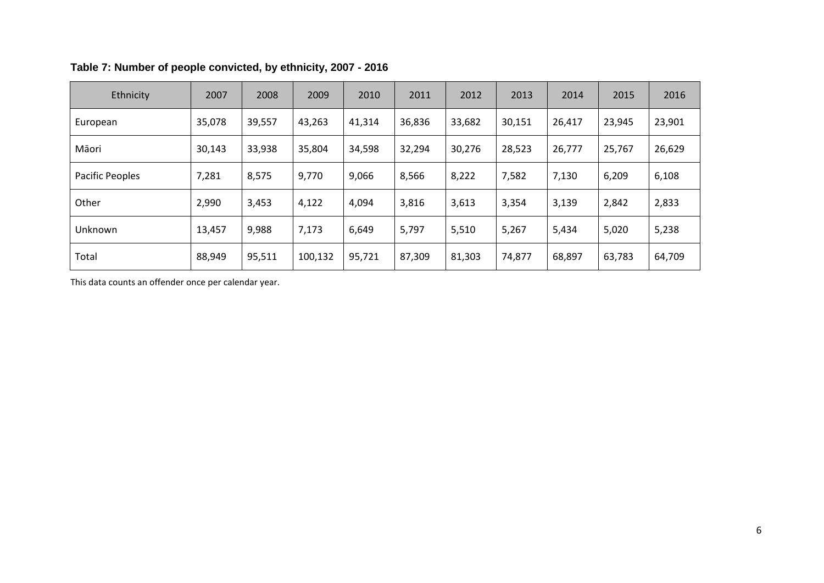| Ethnicity       | 2007   | 2008   | 2009    | 2010   | 2011   | 2012   | 2013   | 2014   | 2015   | 2016   |
|-----------------|--------|--------|---------|--------|--------|--------|--------|--------|--------|--------|
| European        | 35,078 | 39,557 | 43,263  | 41,314 | 36,836 | 33,682 | 30,151 | 26,417 | 23,945 | 23,901 |
| Māori           | 30,143 | 33,938 | 35,804  | 34,598 | 32,294 | 30,276 | 28,523 | 26,777 | 25,767 | 26,629 |
| Pacific Peoples | 7,281  | 8,575  | 9,770   | 9,066  | 8,566  | 8,222  | 7,582  | 7,130  | 6,209  | 6,108  |
| Other           | 2,990  | 3,453  | 4,122   | 4,094  | 3,816  | 3,613  | 3,354  | 3,139  | 2,842  | 2,833  |
| Unknown         | 13,457 | 9,988  | 7,173   | 6,649  | 5,797  | 5,510  | 5,267  | 5,434  | 5,020  | 5,238  |
| Total           | 88,949 | 95,511 | 100,132 | 95,721 | 87,309 | 81,303 | 74,877 | 68,897 | 63,783 | 64,709 |

### **Table 7: Number of people convicted, by ethnicity, 2007 - 2016**

<span id="page-5-0"></span>This data counts an offender once per calendar year.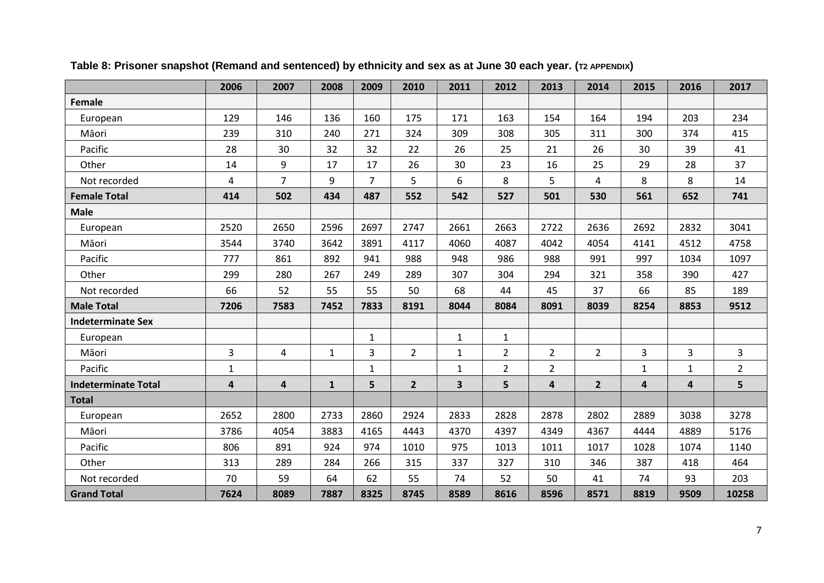<span id="page-6-0"></span>

|                            | 2006           | 2007           | 2008         | 2009           | 2010           | 2011                    | 2012           | 2013           | 2014           | 2015                    | 2016                    | 2017           |
|----------------------------|----------------|----------------|--------------|----------------|----------------|-------------------------|----------------|----------------|----------------|-------------------------|-------------------------|----------------|
| Female                     |                |                |              |                |                |                         |                |                |                |                         |                         |                |
| European                   | 129            | 146            | 136          | 160            | 175            | 171                     | 163            | 154            | 164            | 194                     | 203                     | 234            |
| Māori                      | 239            | 310            | 240          | 271            | 324            | 309                     | 308            | 305            | 311            | 300                     | 374                     | 415            |
| Pacific                    | 28             | 30             | 32           | 32             | 22             | 26                      | 25             | 21             | 26             | 30                      | 39                      | 41             |
| Other                      | 14             | 9              | 17           | 17             | 26             | 30                      | 23             | 16             | 25             | 29                      | 28                      | 37             |
| Not recorded               | 4              | $\overline{7}$ | 9            | $\overline{7}$ | 5              | 6                       | 8              | 5              | 4              | 8                       | 8                       | 14             |
| <b>Female Total</b>        | 414            | 502            | 434          | 487            | 552            | 542                     | 527            | 501            | 530            | 561                     | 652                     | 741            |
| <b>Male</b>                |                |                |              |                |                |                         |                |                |                |                         |                         |                |
| European                   | 2520           | 2650           | 2596         | 2697           | 2747           | 2661                    | 2663           | 2722           | 2636           | 2692                    | 2832                    | 3041           |
| Māori                      | 3544           | 3740           | 3642         | 3891           | 4117           | 4060                    | 4087           | 4042           | 4054           | 4141                    | 4512                    | 4758           |
| Pacific                    | 777            | 861            | 892          | 941            | 988            | 948                     | 986            | 988            | 991            | 997                     | 1034                    | 1097           |
| Other                      | 299            | 280            | 267          | 249            | 289            | 307                     | 304            | 294            | 321            | 358                     | 390                     | 427            |
| Not recorded               | 66             | 52             | 55           | 55             | 50             | 68                      | 44             | 45             | 37             | 66                      | 85                      | 189            |
| <b>Male Total</b>          | 7206           | 7583           | 7452         | 7833           | 8191           | 8044                    | 8084           | 8091           | 8039           | 8254                    | 8853                    | 9512           |
| <b>Indeterminate Sex</b>   |                |                |              |                |                |                         |                |                |                |                         |                         |                |
| European                   |                |                |              | $\mathbf{1}$   |                | $\mathbf{1}$            | $\mathbf{1}$   |                |                |                         |                         |                |
| Māori                      | 3              | 4              | $\mathbf{1}$ | 3              | $\overline{2}$ | $\mathbf{1}$            | $\overline{2}$ | $\overline{2}$ | $\overline{2}$ | 3                       | 3                       | 3              |
| Pacific                    | $\mathbf{1}$   |                |              | $\mathbf{1}$   |                | $\mathbf{1}$            | $\overline{2}$ | $\overline{2}$ |                | $1\,$                   | $\mathbf{1}$            | $\overline{2}$ |
| <b>Indeterminate Total</b> | $\overline{4}$ | 4              | $\mathbf{1}$ | 5              | $\overline{2}$ | $\overline{\mathbf{3}}$ | 5              | $\overline{4}$ | $\overline{2}$ | $\overline{\mathbf{4}}$ | $\overline{\mathbf{4}}$ | 5              |
| <b>Total</b>               |                |                |              |                |                |                         |                |                |                |                         |                         |                |
| European                   | 2652           | 2800           | 2733         | 2860           | 2924           | 2833                    | 2828           | 2878           | 2802           | 2889                    | 3038                    | 3278           |
| Māori                      | 3786           | 4054           | 3883         | 4165           | 4443           | 4370                    | 4397           | 4349           | 4367           | 4444                    | 4889                    | 5176           |
| Pacific                    | 806            | 891            | 924          | 974            | 1010           | 975                     | 1013           | 1011           | 1017           | 1028                    | 1074                    | 1140           |
| Other                      | 313            | 289            | 284          | 266            | 315            | 337                     | 327            | 310            | 346            | 387                     | 418                     | 464            |
| Not recorded               | 70             | 59             | 64           | 62             | 55             | 74                      | 52             | 50             | 41             | 74                      | 93                      | 203            |
| <b>Grand Total</b>         | 7624           | 8089           | 7887         | 8325           | 8745           | 8589                    | 8616           | 8596           | 8571           | 8819                    | 9509                    | 10258          |

**Table 8: Prisoner snapshot (Remand and sentenced) by ethnicity and sex as at June 30 each year. (T2 APPENDIX)**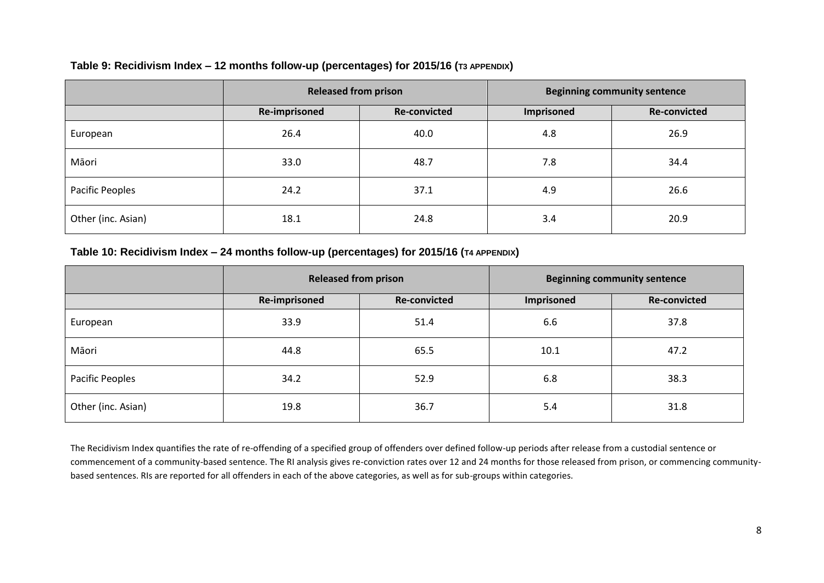#### **Table 9: Recidivism Index – 12 months follow-up (percentages) for 2015/16 (T3 APPENDIX)**

|                    | <b>Released from prison</b> |                     | <b>Beginning community sentence</b> |                     |  |
|--------------------|-----------------------------|---------------------|-------------------------------------|---------------------|--|
|                    | <b>Re-imprisoned</b>        | <b>Re-convicted</b> | Imprisoned                          | <b>Re-convicted</b> |  |
| European           | 26.4                        | 40.0                | 4.8                                 | 26.9                |  |
| Māori              | 33.0                        | 48.7                | 7.8                                 | 34.4                |  |
| Pacific Peoples    | 24.2                        | 37.1                | 4.9                                 | 26.6                |  |
| Other (inc. Asian) | 18.1                        | 24.8                | 3.4                                 | 20.9                |  |

#### **Table 10: Recidivism Index – 24 months follow-up (percentages) for 2015/16 (T4 APPENDIX)**

<span id="page-7-0"></span>

|                    | <b>Released from prison</b> |                     | <b>Beginning community sentence</b> |                     |  |
|--------------------|-----------------------------|---------------------|-------------------------------------|---------------------|--|
|                    | Re-imprisoned               | <b>Re-convicted</b> | Imprisoned                          | <b>Re-convicted</b> |  |
| European           | 33.9                        | 51.4                | 6.6                                 | 37.8                |  |
| Māori              | 44.8                        | 65.5                | 10.1                                | 47.2                |  |
| Pacific Peoples    | 34.2                        | 52.9                | 6.8                                 | 38.3                |  |
| Other (inc. Asian) | 19.8                        | 36.7                | 5.4                                 | 31.8                |  |

<span id="page-7-1"></span>The Recidivism Index quantifies the rate of re-offending of a specified group of offenders over defined follow-up periods after release from a custodial sentence or commencement of a community-based sentence. The RI analysis gives re-conviction rates over 12 and 24 months for those released from prison, or commencing communitybased sentences. RIs are reported for all offenders in each of the above categories, as well as for sub-groups within categories.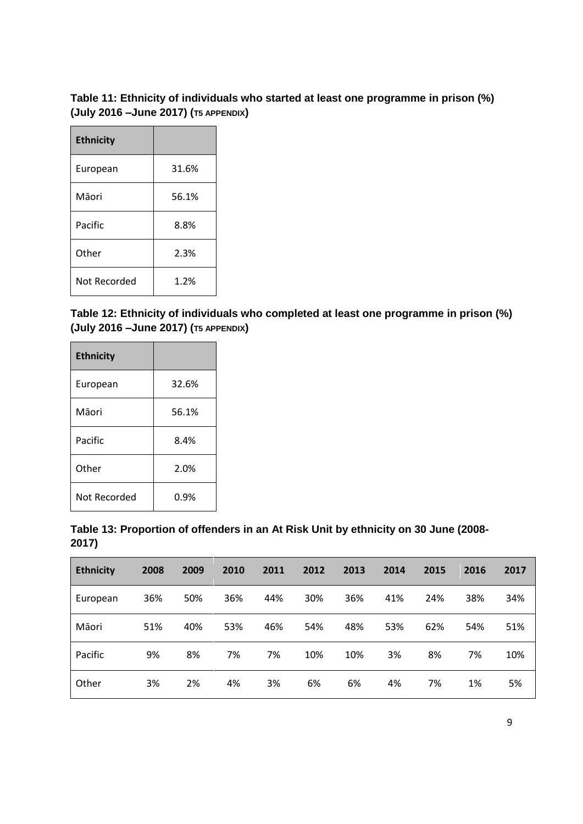#### <span id="page-8-0"></span>**Table 11: Ethnicity of individuals who started at least one programme in prison (%) (July 2016 –June 2017) (T5 APPENDIX)**

| <b>Ethnicity</b> |       |
|------------------|-------|
| European         | 31.6% |
| Māori            | 56.1% |
| Pacific          | 8.8%  |
| Other            | 2.3%  |
| Not Recorded     | 1.2%  |

<span id="page-8-1"></span>**Table 12: Ethnicity of individuals who completed at least one programme in prison (%) (July 2016 –June 2017) (T5 APPENDIX)**

| <b>Ethnicity</b> |       |
|------------------|-------|
| European         | 32.6% |
| Māori            | 56.1% |
| Pacific          | 8.4%  |
| Other            | 2.0%  |
| Not Recorded     | 0.9%  |

<span id="page-8-2"></span>

|       | Table 13: Proportion of offenders in an At Risk Unit by ethnicity on 30 June (2008- |  |  |
|-------|-------------------------------------------------------------------------------------|--|--|
| 2017) |                                                                                     |  |  |

| <b>Ethnicity</b> | 2008 | 2009 | 2010 | 2011 | 2012 | 2013 | 2014 | 2015 | 2016 | 2017 |
|------------------|------|------|------|------|------|------|------|------|------|------|
| European         | 36%  | 50%  | 36%  | 44%  | 30%  | 36%  | 41%  | 24%  | 38%  | 34%  |
| Māori            | 51%  | 40%  | 53%  | 46%  | 54%  | 48%  | 53%  | 62%  | 54%  | 51%  |
| Pacific          | 9%   | 8%   | 7%   | 7%   | 10%  | 10%  | 3%   | 8%   | 7%   | 10%  |
| Other            | 3%   | 2%   | 4%   | 3%   | 6%   | 6%   | 4%   | 7%   | 1%   | 5%   |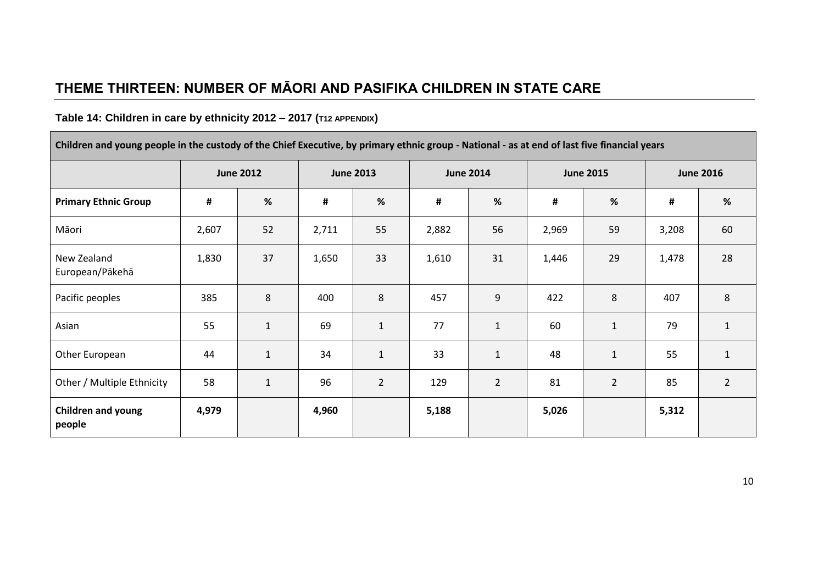# **THEME THIRTEEN: NUMBER OF MĀORI AND PASIFIKA CHILDREN IN STATE CARE**

## **Table 14: Children in care by ethnicity 2012 – 2017 (T12 APPENDIX)**

Г

<span id="page-9-1"></span><span id="page-9-0"></span>

| Children and young people in the custody of the Chief Executive, by primary ethnic group - National - as at end of last five financial years |       |                  |       |                  |       |                  |       |                  |                |                  |
|----------------------------------------------------------------------------------------------------------------------------------------------|-------|------------------|-------|------------------|-------|------------------|-------|------------------|----------------|------------------|
|                                                                                                                                              |       | <b>June 2012</b> |       | <b>June 2013</b> |       | <b>June 2014</b> |       | <b>June 2015</b> |                | <b>June 2016</b> |
| <b>Primary Ethnic Group</b>                                                                                                                  | #     | %                | #     | %                | #     | $\%$             | #     | $\%$             | $\pmb{\sharp}$ | %                |
| Māori                                                                                                                                        | 2,607 | 52               | 2,711 | 55               | 2,882 | 56               | 2,969 | 59               | 3,208          | 60               |
| New Zealand<br>European/Pākehā                                                                                                               | 1,830 | 37               | 1,650 | 33               | 1,610 | 31               | 1,446 | 29               | 1,478          | 28               |
| Pacific peoples                                                                                                                              | 385   | 8                | 400   | 8                | 457   | 9                | 422   | 8                | 407            | $8\phantom{1}$   |
| Asian                                                                                                                                        | 55    | $\mathbf{1}$     | 69    | $\mathbf{1}$     | 77    | $\mathbf{1}$     | 60    | $\mathbf{1}$     | 79             | $\mathbf{1}$     |
| Other European                                                                                                                               | 44    | $\mathbf 1$      | 34    | $\mathbf{1}$     | 33    | $\mathbf{1}$     | 48    | $\mathbf{1}$     | 55             | $\mathbf{1}$     |
| Other / Multiple Ethnicity                                                                                                                   | 58    | $\mathbf 1$      | 96    | $\overline{2}$   | 129   | $\overline{2}$   | 81    | $\overline{2}$   | 85             | $\overline{2}$   |
| <b>Children and young</b><br>people                                                                                                          | 4,979 |                  | 4,960 |                  | 5,188 |                  | 5,026 |                  | 5,312          |                  |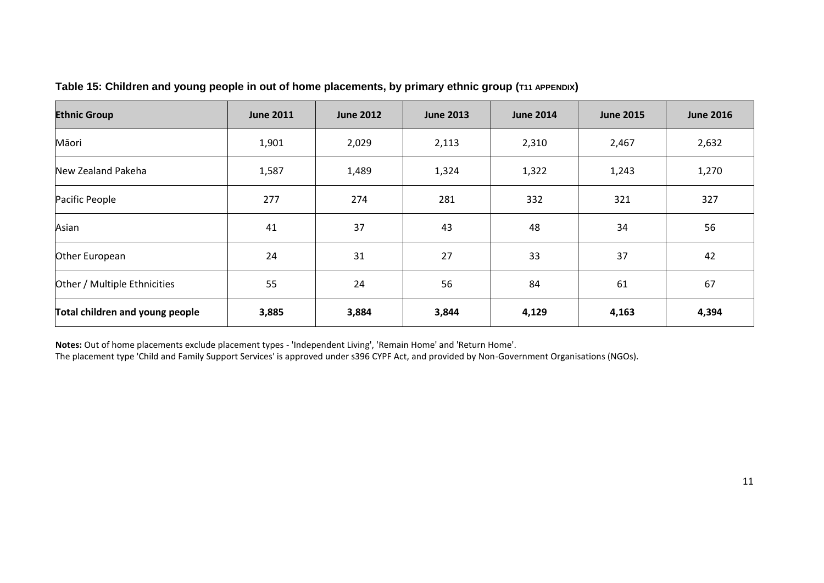| <b>Ethnic Group</b>             | <b>June 2011</b> | <b>June 2012</b> | <b>June 2013</b> | <b>June 2014</b> | <b>June 2015</b> | <b>June 2016</b> |
|---------------------------------|------------------|------------------|------------------|------------------|------------------|------------------|
| Māori                           | 1,901            | 2,029            | 2,113            | 2,310            | 2,467            | 2,632            |
| New Zealand Pakeha              | 1,587            | 1,489            | 1,324            | 1,322            | 1,243            | 1,270            |
| Pacific People                  | 277              | 274              | 281              | 332              | 321              | 327              |
| Asian                           | 41               | 37               | 43               | 48               | 34               | 56               |
| Other European                  | 24               | 31               | 27               | 33               | 37               | 42               |
| Other / Multiple Ethnicities    | 55               | 24               | 56               | 84               | 61               | 67               |
| Total children and young people | 3,885            | 3,884            | 3,844            | 4,129            | 4,163            | 4,394            |

#### **Table 15: Children and young people in out of home placements, by primary ethnic group (T11 APPENDIX)**

<span id="page-10-0"></span>**Notes:** Out of home placements exclude placement types - 'Independent Living', 'Remain Home' and 'Return Home'.

The placement type 'Child and Family Support Services' is approved under s396 CYPF Act, and provided by Non-Government Organisations (NGOs).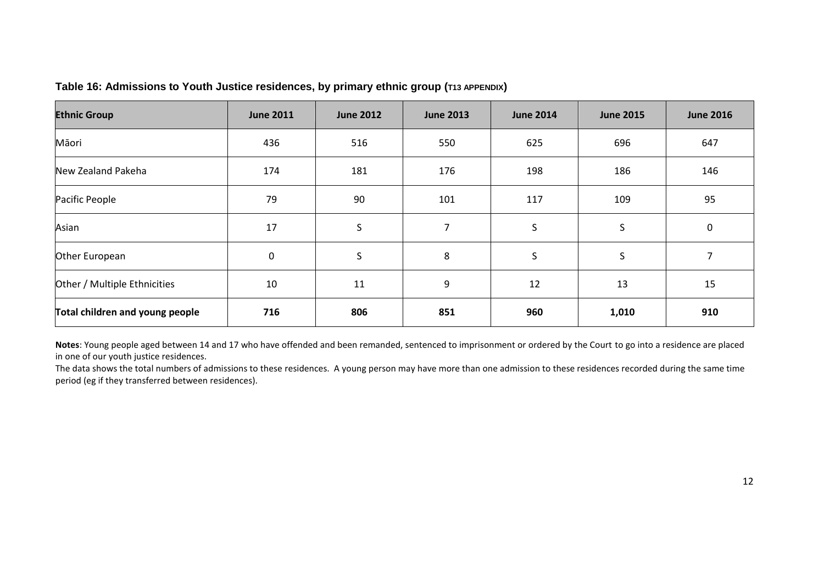|  |  | Table 16: Admissions to Youth Justice residences, by primary ethnic group (T13 APPENDIX) |  |  |
|--|--|------------------------------------------------------------------------------------------|--|--|
|--|--|------------------------------------------------------------------------------------------|--|--|

| <b>Ethnic Group</b>             | <b>June 2011</b> | <b>June 2012</b> | <b>June 2013</b> | <b>June 2014</b> | <b>June 2015</b> | <b>June 2016</b> |
|---------------------------------|------------------|------------------|------------------|------------------|------------------|------------------|
| Māori                           | 436              | 516              | 550              | 625              | 696              | 647              |
| New Zealand Pakeha              | 174              | 181              | 176              | 198              | 186              | 146              |
| Pacific People                  | 79               | 90               | 101              | 117              | 109              | 95               |
| Asian                           | 17               | S                | 7                | S                | $\mathsf{S}$     | $\mathbf 0$      |
| Other European                  | 0                | $\sf S$          | 8                | S                | S                | 7                |
| Other / Multiple Ethnicities    | 10               | 11               | 9                | 12               | 13               | 15               |
| Total children and young people | 716              | 806              | 851              | 960              | 1,010            | 910              |

<span id="page-11-0"></span>**Notes**: Young people aged between 14 and 17 who have offended and been remanded, sentenced to imprisonment or ordered by the Court to go into a residence are placed in one of our youth justice residences.

The data shows the total numbers of admissions to these residences. A young person may have more than one admission to these residences recorded during the same time period (eg if they transferred between residences).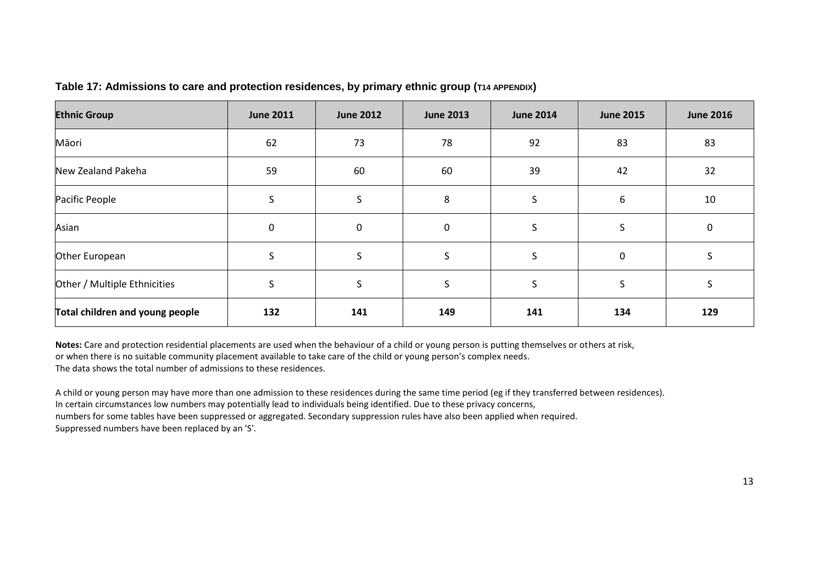| <b>Ethnic Group</b>             | <b>June 2011</b> | <b>June 2012</b> | <b>June 2013</b> | <b>June 2014</b> | <b>June 2015</b> | <b>June 2016</b> |
|---------------------------------|------------------|------------------|------------------|------------------|------------------|------------------|
| Māori                           | 62               | 73               | 78               | 92               | 83               | 83               |
| New Zealand Pakeha              | 59               | 60               | 60               | 39               | 42               | 32               |
| Pacific People                  | S                | S                | 8                | S                | 6                | 10               |
| Asian                           | 0                | $\mathbf 0$      | 0                | S                | S.               | 0                |
| Other European                  | S                | S                | S                | S                | 0                |                  |
| Other / Multiple Ethnicities    | S                | S                | S                | S                | S.               | ◝                |
| Total children and young people | 132              | 141              | 149              | 141              | 134              | 129              |

#### **Table 17: Admissions to care and protection residences, by primary ethnic group (T14 APPENDIX)**

<span id="page-12-0"></span>**Notes:** Care and protection residential placements are used when the behaviour of a child or young person is putting themselves or others at risk, or when there is no suitable community placement available to take care of the child or young person's complex needs. The data shows the total number of admissions to these residences.

A child or young person may have more than one admission to these residences during the same time period (eg if they transferred between residences). In certain circumstances low numbers may potentially lead to individuals being identified. Due to these privacy concerns, numbers for some tables have been suppressed or aggregated. Secondary suppression rules have also been applied when required. Suppressed numbers have been replaced by an 'S'.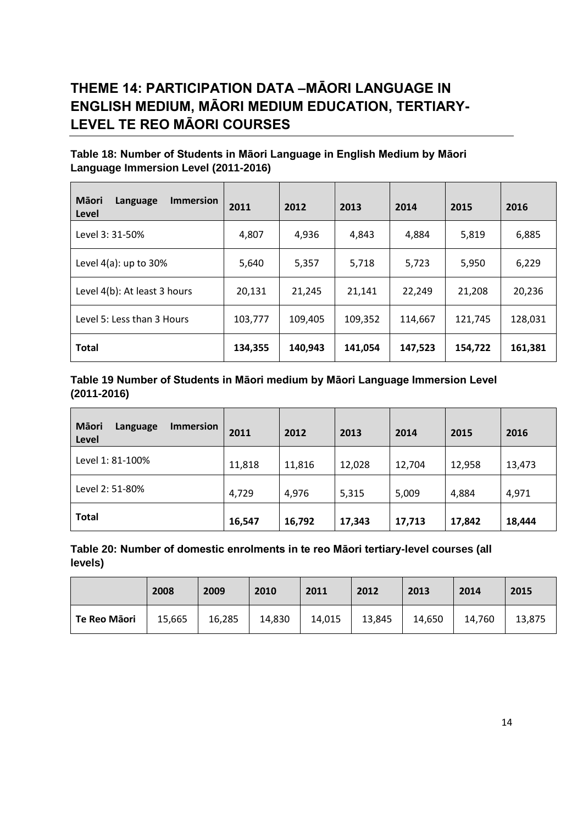## <span id="page-13-0"></span>**THEME 14: PARTICIPATION DATA –MĀORI LANGUAGE IN ENGLISH MEDIUM, MĀORI MEDIUM EDUCATION, TERTIARY-LEVEL TE REO MĀORI COURSES**

#### <span id="page-13-1"></span>**Table 18: Number of Students in Māori Language in English Medium by Māori Language Immersion Level (2011-2016)**

| Māori<br><b>Immersion</b><br>Language<br>Level | 2011    | 2012    | 2013    | 2014    | 2015    | 2016    |
|------------------------------------------------|---------|---------|---------|---------|---------|---------|
| Level 3: 31-50%                                | 4,807   | 4,936   | 4,843   | 4,884   | 5,819   | 6,885   |
| Level $4(a)$ : up to $30\%$                    | 5,640   | 5,357   | 5,718   | 5,723   | 5,950   | 6,229   |
| Level 4(b): At least 3 hours                   | 20,131  | 21,245  | 21,141  | 22,249  | 21,208  | 20,236  |
| Level 5: Less than 3 Hours                     | 103,777 | 109,405 | 109,352 | 114,667 | 121,745 | 128,031 |
| <b>Total</b>                                   | 134,355 | 140,943 | 141,054 | 147,523 | 154,722 | 161,381 |

#### <span id="page-13-2"></span>**Table 19 Number of Students in Māori medium by Māori Language Immersion Level (2011-2016)**

| Māori<br><b>Immersion</b><br>Language<br>Level | 2011   | 2012   | 2013   | 2014   | 2015   | 2016   |
|------------------------------------------------|--------|--------|--------|--------|--------|--------|
| Level 1: 81-100%                               | 11,818 | 11,816 | 12,028 | 12,704 | 12,958 | 13,473 |
| Level 2: 51-80%                                | 4,729  | 4,976  | 5,315  | 5,009  | 4,884  | 4,971  |
| <b>Total</b>                                   | 16,547 | 16,792 | 17,343 | 17,713 | 17,842 | 18,444 |

#### <span id="page-13-3"></span>**Table 20: Number of domestic enrolments in te reo Māori tertiary-level courses (all levels)**

|              | 2008   | 2009   | 2010   | 2011   | 2012   | 2013   | 2014   | 2015   |
|--------------|--------|--------|--------|--------|--------|--------|--------|--------|
| Te Reo Māori | 15,665 | 16,285 | 14,830 | 14,015 | 13,845 | 14,650 | 14,760 | 13,875 |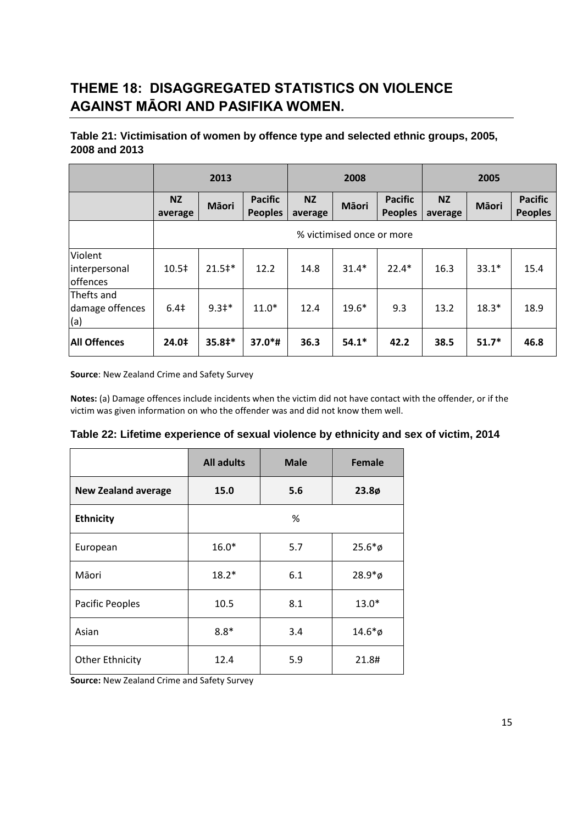# <span id="page-14-0"></span>**THEME 18: DISAGGREGATED STATISTICS ON VIOLENCE AGAINST MĀORI AND PASIFIKA WOMEN.**

### <span id="page-14-1"></span>**Table 21: Victimisation of women by offence type and selected ethnic groups, 2005, 2008 and 2013**

|                                      |                      | 2013              |                                  |                      | 2008                      |                                  |                      | 2005    |                                  |
|--------------------------------------|----------------------|-------------------|----------------------------------|----------------------|---------------------------|----------------------------------|----------------------|---------|----------------------------------|
|                                      | <b>NZ</b><br>average | Māori             | <b>Pacific</b><br><b>Peoples</b> | <b>NZ</b><br>average | Māori                     | <b>Pacific</b><br><b>Peoples</b> | <b>NZ</b><br>average | Māori   | <b>Pacific</b><br><b>Peoples</b> |
|                                      |                      |                   |                                  |                      | % victimised once or more |                                  |                      |         |                                  |
| Violent<br>interpersonal<br>offences | 10.5‡                | $21.5^{\text{+}}$ | 12.2                             | 14.8                 | $31.4*$                   | $22.4*$                          | 16.3                 | $33.1*$ | 15.4                             |
| Thefts and<br>damage offences<br>(a) | 6.4 <sup>‡</sup>     | $9.3*$            | $11.0*$                          | 12.4                 | $19.6*$                   | 9.3                              | 13.2                 | $18.3*$ | 18.9                             |
| <b>All Offences</b>                  | 24.0‡                | $35.8+*$          | $37.0*$ #                        | 36.3                 | $54.1*$                   | 42.2                             | 38.5                 | $51.7*$ | 46.8                             |

**Source**: New Zealand Crime and Safety Survey

**Notes:** (a) Damage offences include incidents when the victim did not have contact with the offender, or if the victim was given information on who the offender was and did not know them well.

<span id="page-14-2"></span>

| Table 22: Lifetime experience of sexual violence by ethnicity and sex of victim, 2014 |  |  |  |
|---------------------------------------------------------------------------------------|--|--|--|
|---------------------------------------------------------------------------------------|--|--|--|

|                            | <b>All adults</b> | <b>Male</b> | Female     |
|----------------------------|-------------------|-------------|------------|
| <b>New Zealand average</b> | 15.0              | 5.6         | $23.8\phi$ |
| <b>Ethnicity</b>           |                   | %           |            |
| European                   | $16.0*$           | 5.7         | $25.6*$ ø  |
| Māori                      | $18.2*$           | 6.1         | $28.9*$ ø  |
| Pacific Peoples            | 10.5              | 8.1         | $13.0*$    |
| Asian                      | $8.8*$            | 3.4         | $14.6*$ ø  |
| <b>Other Ethnicity</b>     | 12.4              | 5.9         | 21.8#      |

**Source:** New Zealand Crime and Safety Survey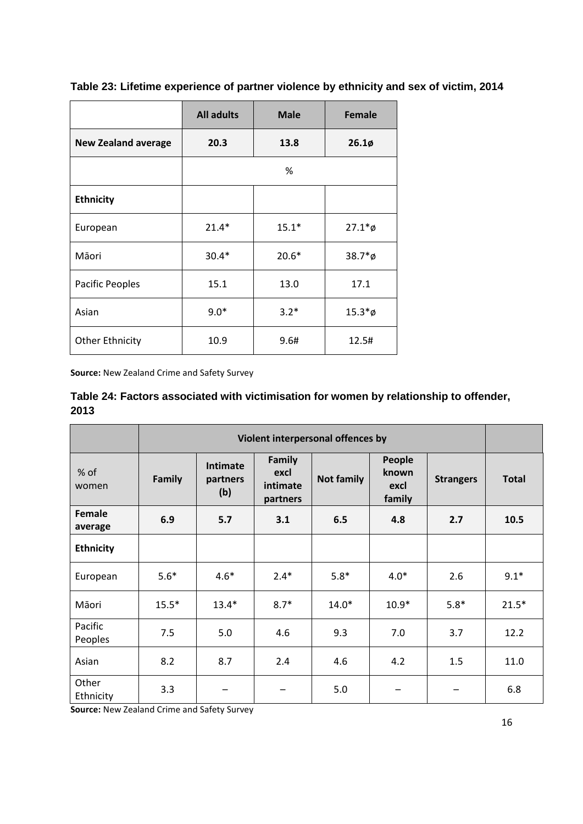|                            | <b>All adults</b> | <b>Male</b> | <b>Female</b> |
|----------------------------|-------------------|-------------|---------------|
| <b>New Zealand average</b> | 20.3              | 13.8        | $26.1\phi$    |
|                            |                   | %           |               |
| <b>Ethnicity</b>           |                   |             |               |
| European                   | $21.4*$           | $15.1*$     | $27.1*$ ø     |
| Māori                      | $30.4*$           | $20.6*$     | $38.7*$ ø     |
| Pacific Peoples            | 15.1              | 13.0        | 17.1          |
| Asian                      | $9.0*$            | $3.2*$      | $15.3*$ ø     |
| <b>Other Ethnicity</b>     | 10.9              | 9.6#        | 12.5#         |

<span id="page-15-0"></span>**Table 23: Lifetime experience of partner violence by ethnicity and sex of victim, 2014**

<span id="page-15-1"></span>**Source:** New Zealand Crime and Safety Survey

**Table 24: Factors associated with victimisation for women by relationship to offender, 2013**

|                    | Violent interpersonal offences by |                                    |                                        |                   |                                   |                  |              |
|--------------------|-----------------------------------|------------------------------------|----------------------------------------|-------------------|-----------------------------------|------------------|--------------|
| % of<br>women      | <b>Family</b>                     | <b>Intimate</b><br>partners<br>(b) | Family<br>excl<br>intimate<br>partners | <b>Not family</b> | People<br>known<br>excl<br>family | <b>Strangers</b> | <b>Total</b> |
| Female<br>average  | 6.9                               | 5.7                                | 3.1                                    | 6.5               | 4.8                               | 2.7              | 10.5         |
| <b>Ethnicity</b>   |                                   |                                    |                                        |                   |                                   |                  |              |
| European           | $5.6*$                            | $4.6*$                             | $2.4*$                                 | $5.8*$            | $4.0*$                            | 2.6              | $9.1*$       |
| Māori              | $15.5*$                           | $13.4*$                            | $8.7*$                                 | $14.0*$           | $10.9*$                           | $5.8*$           | $21.5*$      |
| Pacific<br>Peoples | 7.5                               | 5.0                                | 4.6                                    | 9.3               | 7.0                               | 3.7              | 12.2         |
| Asian              | 8.2                               | 8.7                                | 2.4                                    | 4.6               | 4.2                               | 1.5              | 11.0         |
| Other<br>Ethnicity | 3.3                               |                                    |                                        | 5.0               |                                   |                  | 6.8          |

**Source:** New Zealand Crime and Safety Survey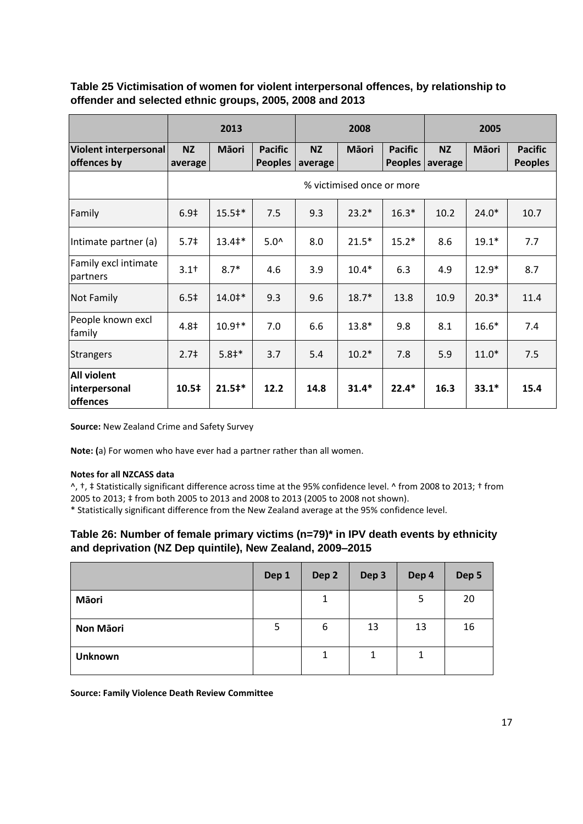<span id="page-16-0"></span>**Table 25 Victimisation of women for violent interpersonal offences, by relationship to offender and selected ethnic groups, 2005, 2008 and 2013**

|                                                 |                      | 2013                      |                                  |                      | 2008         |                                  |                      | 2005         |                                  |
|-------------------------------------------------|----------------------|---------------------------|----------------------------------|----------------------|--------------|----------------------------------|----------------------|--------------|----------------------------------|
| Violent interpersonal<br>offences by            | <b>NZ</b><br>average | <b>Mäori</b>              | <b>Pacific</b><br><b>Peoples</b> | <b>NZ</b><br>average | <b>Mäori</b> | <b>Pacific</b><br><b>Peoples</b> | <b>NZ</b><br>average | <b>Mäori</b> | <b>Pacific</b><br><b>Peoples</b> |
|                                                 |                      | % victimised once or more |                                  |                      |              |                                  |                      |              |                                  |
| Family                                          | 6.9 <sup>‡</sup>     | $15.5^*$                  | 7.5                              | 9.3                  | $23.2*$      | $16.3*$                          | 10.2                 | $24.0*$      | 10.7                             |
| Intimate partner (a)                            | 5.7 <sup>‡</sup>     | $13.4^*$                  | $5.0^{\circ}$                    | 8.0                  | $21.5*$      | $15.2*$                          | 8.6                  | $19.1*$      | 7.7                              |
| Family excl intimate<br>partners                | $3.1+$               | $8.7*$                    | 4.6                              | 3.9                  | $10.4*$      | 6.3                              | 4.9                  | $12.9*$      | 8.7                              |
| <b>Not Family</b>                               | 6.5 <sup>‡</sup>     | $14.0^{\text{+}}$         | 9.3                              | 9.6                  | $18.7*$      | 13.8                             | 10.9                 | $20.3*$      | 11.4                             |
| People known excl<br>family                     | 4.8‡                 | $10.9^{+*}$               | 7.0                              | 6.6                  | $13.8*$      | 9.8                              | 8.1                  | $16.6*$      | 7.4                              |
| <b>Strangers</b>                                | 2.7 <sup>†</sup>     | $5.8+*$                   | 3.7                              | 5.4                  | $10.2*$      | 7.8                              | 5.9                  | $11.0*$      | 7.5                              |
| <b>All violent</b><br>interpersonal<br>offences | 10.5‡                | $21.5*$                   | 12.2                             | 14.8                 | $31.4*$      | $22.4*$                          | 16.3                 | $33.1*$      | 15.4                             |

**Source:** New Zealand Crime and Safety Survey

**Note: (**a) For women who have ever had a partner rather than all women.

#### **Notes for all NZCASS data**

^, †, ‡ Statistically significant difference across time at the 95% confidence level. ^ from 2008 to 2013; † from 2005 to 2013; ‡ from both 2005 to 2013 and 2008 to 2013 (2005 to 2008 not shown).

<span id="page-16-1"></span>\* Statistically significant difference from the New Zealand average at the 95% confidence level.

#### **Table 26: Number of female primary victims (n=79)\* in IPV death events by ethnicity and deprivation (NZ Dep quintile), New Zealand, 2009–2015**

|                | Dep 1 | Dep <sub>2</sub> | Dep 3 | Dep 4 | Dep 5 |
|----------------|-------|------------------|-------|-------|-------|
| Māori          |       | 1                |       | 5     | 20    |
| Non Māori      | 5     | 6                | 13    | 13    | 16    |
| <b>Unknown</b> |       | 1                | 1     | 1     |       |

**Source: Family Violence Death Review Committee**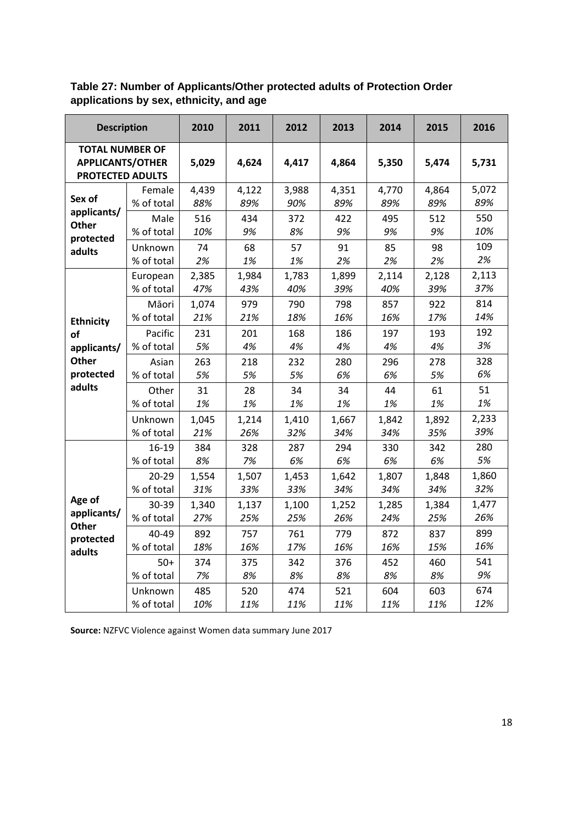<span id="page-17-0"></span>**Table 27: Number of Applicants/Other protected adults of Protection Order applications by sex, ethnicity, and age**

| <b>Description</b>                                                           |                     | 2010       | 2011       | 2012       | 2013       | 2014       | 2015       | 2016       |
|------------------------------------------------------------------------------|---------------------|------------|------------|------------|------------|------------|------------|------------|
| <b>TOTAL NUMBER OF</b><br><b>APPLICANTS/OTHER</b><br><b>PROTECTED ADULTS</b> |                     | 5,029      | 4,624      | 4,417      | 4,864      | 5,350      | 5,474      | 5,731      |
| Sex of                                                                       | Female              | 4,439      | 4,122      | 3,988      | 4,351      | 4,770      | 4,864      | 5,072      |
|                                                                              | % of total          | 88%        | 89%        | 90%        | 89%        | 89%        | 89%        | 89%        |
| applicants/<br><b>Other</b><br>protected                                     | Male<br>% of total  | 516<br>10% | 434<br>9%  | 372<br>8%  | 422<br>9%  | 495<br>9%  | 512<br>9%  | 550<br>10% |
| adults                                                                       | Unknown             | 74         | 68         | 57         | 91         | 85         | 98         | 109        |
|                                                                              | % of total          | 2%         | 1%         | 1%         | 2%         | 2%         | 2%         | 2%         |
|                                                                              | European            | 2,385      | 1,984      | 1,783      | 1,899      | 2,114      | 2,128      | 2,113      |
|                                                                              | % of total          | 47%        | 43%        | 40%        | 39%        | 40%        | 39%        | 37%        |
| <b>Ethnicity</b>                                                             | Māori               | 1,074      | 979        | 790        | 798        | 857        | 922        | 814        |
|                                                                              | % of total          | 21%        | 21%        | 18%        | 16%        | 16%        | 17%        | 14%        |
| of                                                                           | Pacific             | 231        | 201        | 168        | 186        | 197        | 193        | 192        |
| applicants/                                                                  | % of total          | 5%         | 4%         | 4%         | 4%         | 4%         | 4%         | 3%         |
| <b>Other</b>                                                                 | Asian               | 263        | 218        | 232        | 280        | 296        | 278        | 328        |
| protected                                                                    | % of total          | 5%         | 5%         | 5%         | 6%         | 6%         | 5%         | 6%         |
| adults                                                                       | Other               | 31         | 28         | 34         | 34         | 44         | 61         | 51         |
|                                                                              | % of total          | 1%         | 1%         | 1%         | 1%         | 1%         | 1%         | 1%         |
|                                                                              | Unknown             | 1,045      | 1,214      | 1,410      | 1,667      | 1,842      | 1,892      | 2,233      |
|                                                                              | % of total          | 21%        | 26%        | 32%        | 34%        | 34%        | 35%        | 39%        |
|                                                                              | 16-19               | 384        | 328        | 287        | 294        | 330        | 342        | 280        |
|                                                                              | % of total          | 8%         | 7%         | 6%         | 6%         | 6%         | 6%         | 5%         |
|                                                                              | $20 - 29$           | 1,554      | 1,507      | 1,453      | 1,642      | 1,807      | 1,848      | 1,860      |
|                                                                              | % of total          | 31%        | 33%        | 33%        | 34%        | 34%        | 34%        | 32%        |
| Age of                                                                       | 30-39               | 1,340      | 1,137      | 1,100      | 1,252      | 1,285      | 1,384      | 1,477      |
| applicants/                                                                  | % of total          | 27%        | 25%        | 25%        | 26%        | 24%        | 25%        | 26%        |
| <b>Other</b><br>protected<br>adults                                          | 40-49<br>% of total | 892<br>18% | 757<br>16% | 761<br>17% | 779<br>16% | 872<br>16% | 837<br>15% | 899<br>16% |
|                                                                              | $50+$               | 374        | 375        | 342        | 376        | 452        | 460        | 541        |
|                                                                              | % of total          | 7%         | 8%         | 8%         | 8%         | 8%         | 8%         | 9%         |
|                                                                              | Unknown             | 485        | 520        | 474        | 521        | 604        | 603        | 674        |
|                                                                              | % of total          | 10%        | 11%        | 11%        | 11%        | 11%        | 11%        | 12%        |

**Source:** NZFVC Violence against Women data summary June 2017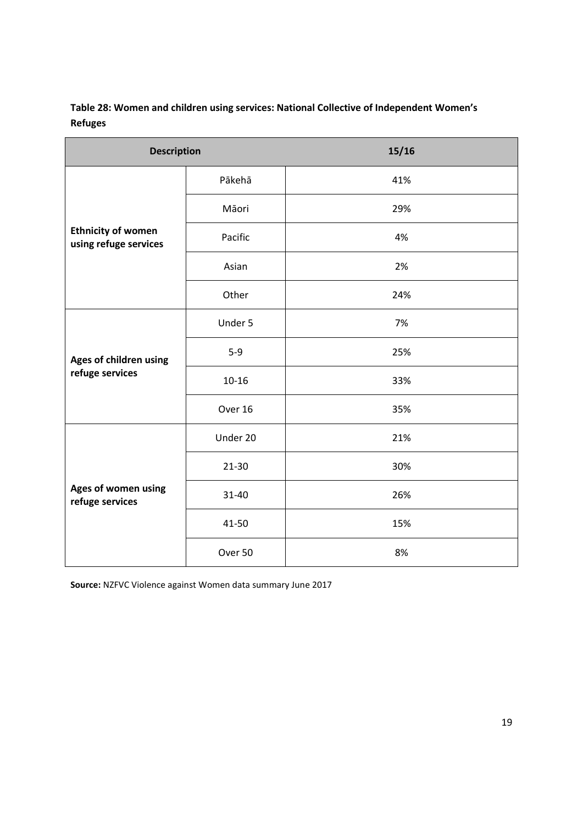| Table 28: Women and children using services: National Collective of Independent Women's |
|-----------------------------------------------------------------------------------------|
| <b>Refuges</b>                                                                          |

| <b>Description</b>                                 |           | 15/16 |
|----------------------------------------------------|-----------|-------|
|                                                    | Pākehā    | 41%   |
|                                                    | Māori     | 29%   |
| <b>Ethnicity of women</b><br>using refuge services | Pacific   | 4%    |
|                                                    | Asian     | 2%    |
|                                                    | Other     | 24%   |
|                                                    | Under 5   | 7%    |
| Ages of children using                             | $5-9$     | 25%   |
| refuge services                                    | $10 - 16$ | 33%   |
|                                                    | Over 16   | 35%   |
|                                                    | Under 20  | 21%   |
|                                                    | 21-30     | 30%   |
| Ages of women using<br>refuge services             | 31-40     | 26%   |
|                                                    | 41-50     | 15%   |
|                                                    | Over 50   | 8%    |

**Source:** NZFVC Violence against Women data summary June 2017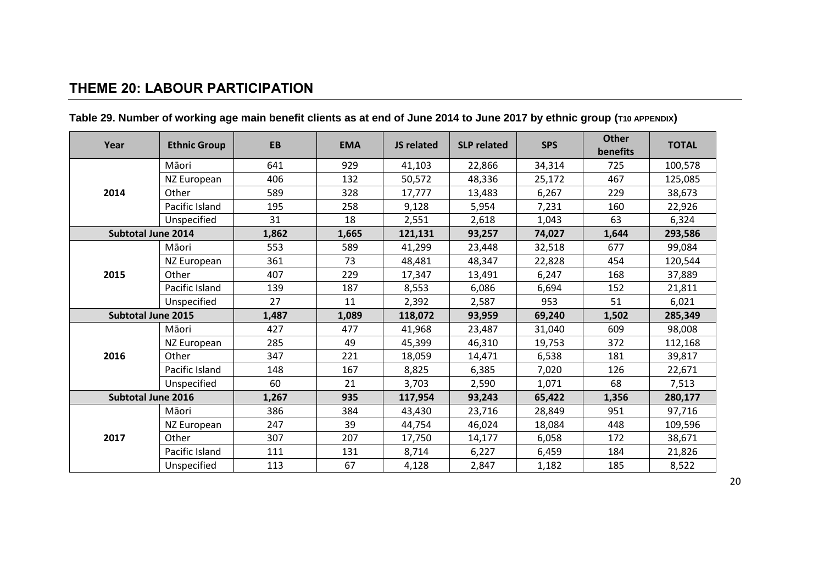## **THEME 20: LABOUR PARTICIPATION**

<span id="page-19-1"></span><span id="page-19-0"></span>

| Year                      | <b>Ethnic Group</b> | <b>EB</b> | <b>EMA</b> | JS related | <b>SLP related</b> | <b>SPS</b> | <b>Other</b><br>benefits | <b>TOTAL</b> |
|---------------------------|---------------------|-----------|------------|------------|--------------------|------------|--------------------------|--------------|
|                           | Māori               | 641       | 929        | 41,103     | 22,866             | 34,314     | 725                      | 100,578      |
|                           | NZ European         | 406       | 132        | 50,572     | 48,336             | 25,172     | 467                      | 125,085      |
| 2014                      | Other               | 589       | 328        | 17,777     | 13,483             | 6,267      | 229                      | 38,673       |
|                           | Pacific Island      | 195       | 258        | 9,128      | 5,954              | 7,231      | 160                      | 22,926       |
|                           | Unspecified         | 31        | 18         | 2,551      | 2,618              | 1,043      | 63                       | 6,324        |
| <b>Subtotal June 2014</b> |                     | 1,862     | 1,665      | 121,131    | 93,257             | 74,027     | 1,644                    | 293,586      |
|                           | Māori               | 553       | 589        | 41,299     | 23,448             | 32,518     | 677                      | 99,084       |
|                           | NZ European         | 361       | 73         | 48,481     | 48,347             | 22,828     | 454                      | 120,544      |
| 2015                      | Other               | 407       | 229        | 17,347     | 13,491             | 6,247      | 168                      | 37,889       |
|                           | Pacific Island      | 139       | 187        | 8,553      | 6,086              | 6,694      | 152                      | 21,811       |
|                           | Unspecified         | 27        | 11         | 2,392      | 2,587              | 953        | 51                       | 6,021        |
| <b>Subtotal June 2015</b> |                     | 1,487     | 1,089      | 118,072    | 93,959             | 69,240     | 1,502                    | 285,349      |
|                           | Māori               | 427       | 477        | 41,968     | 23,487             | 31,040     | 609                      | 98,008       |
|                           | NZ European         | 285       | 49         | 45,399     | 46,310             | 19,753     | 372                      | 112,168      |
| 2016                      | Other               | 347       | 221        | 18,059     | 14,471             | 6,538      | 181                      | 39,817       |
|                           | Pacific Island      | 148       | 167        | 8,825      | 6,385              | 7,020      | 126                      | 22,671       |
|                           | Unspecified         | 60        | 21         | 3,703      | 2,590              | 1,071      | 68                       | 7,513        |
| <b>Subtotal June 2016</b> |                     | 1,267     | 935        | 117,954    | 93,243             | 65,422     | 1,356                    | 280,177      |
|                           | Māori               | 386       | 384        | 43,430     | 23,716             | 28,849     | 951                      | 97,716       |
|                           | NZ European         | 247       | 39         | 44,754     | 46,024             | 18,084     | 448                      | 109,596      |
| 2017                      | Other               | 307       | 207        | 17,750     | 14,177             | 6,058      | 172                      | 38,671       |
|                           | Pacific Island      | 111       | 131        | 8,714      | 6,227              | 6,459      | 184                      | 21,826       |
|                           | Unspecified         | 113       | 67         | 4,128      | 2,847              | 1,182      | 185                      | 8,522        |

## **Table 29. Number of working age main benefit clients as at end of June 2014 to June 2017 by ethnic group (T10 APPENDIX)**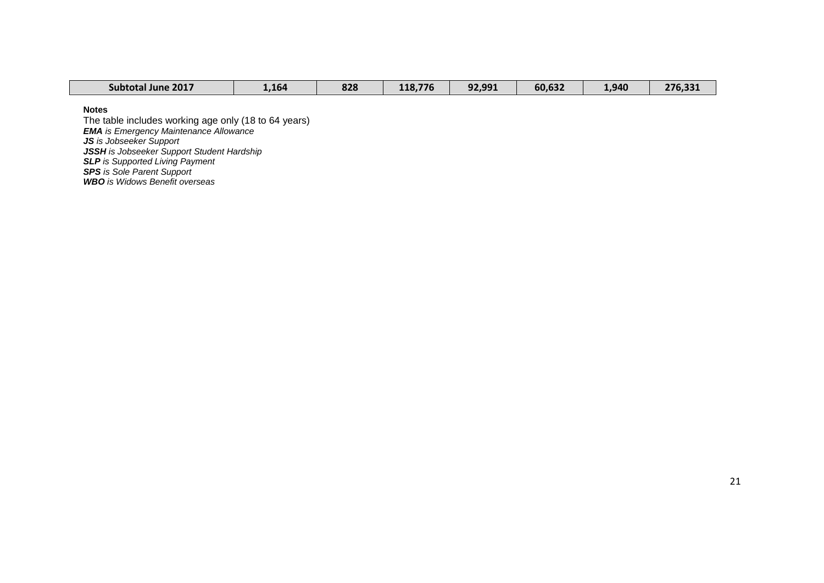| <b>Subtotal June 2017</b> | 1,164 | 828 | 118,776 | 92,991 | 60,632 | 1,940 | 276,331 |
|---------------------------|-------|-----|---------|--------|--------|-------|---------|

**Notes** 

The table includes working age only (18 to 64 years) *EMA is Emergency Maintenance Allowance JS is Jobseeker Support JSSH is Jobseeker Support Student Hardship SLP is Supported Living Payment SPS is Sole Parent Support WBO is Widows Benefit overseas*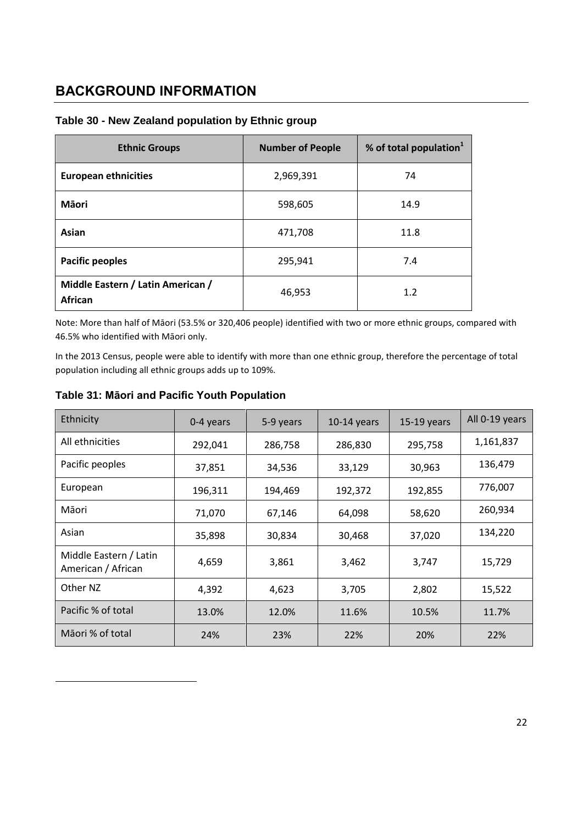## <span id="page-21-0"></span>**BACKGROUND INFORMATION**

| <b>Ethnic Groups</b>                         | <b>Number of People</b> | % of total population $1$ |
|----------------------------------------------|-------------------------|---------------------------|
| <b>European ethnicities</b>                  | 2,969,391               | 74                        |
| Māori                                        | 598,605                 | 14.9                      |
| Asian                                        | 471,708                 | 11.8                      |
| <b>Pacific peoples</b>                       | 295,941                 | 7.4                       |
| Middle Eastern / Latin American /<br>African | 46,953                  | 1.2                       |

#### <span id="page-21-1"></span>**Table 30 - New Zealand population by Ethnic group**

Note: More than half of Māori (53.5% or 320,406 people) identified with two or more ethnic groups, compared with 46.5% who identified with Māori only.

In the 2013 Census, people were able to identify with more than one ethnic group, therefore the percentage of total population including all ethnic groups adds up to 109%.

| Ethnicity                                    | 0-4 years | 5-9 years | $10-14$ years | $15-19$ years | All 0-19 years |
|----------------------------------------------|-----------|-----------|---------------|---------------|----------------|
| All ethnicities                              | 292,041   | 286,758   | 286,830       | 295,758       | 1,161,837      |
| Pacific peoples                              | 37,851    | 34,536    | 33,129        | 30,963        | 136,479        |
| European                                     | 196,311   | 194,469   | 192,372       | 192,855       | 776,007        |
| Māori                                        | 71,070    | 67,146    | 64,098        | 58,620        | 260,934        |
| Asian                                        | 35,898    | 30,834    | 30,468        | 37,020        | 134,220        |
| Middle Eastern / Latin<br>American / African | 4,659     | 3,861     | 3,462         | 3,747         | 15,729         |
| Other NZ                                     | 4,392     | 4,623     | 3,705         | 2,802         | 15,522         |
| Pacific % of total                           | 13.0%     | 12.0%     | 11.6%         | 10.5%         | 11.7%          |
| Māori % of total                             | 24%       | 23%       | 22%           | 20%           | 22%            |

#### <span id="page-21-2"></span>**Table 31: Māori and Pacific Youth Population**

-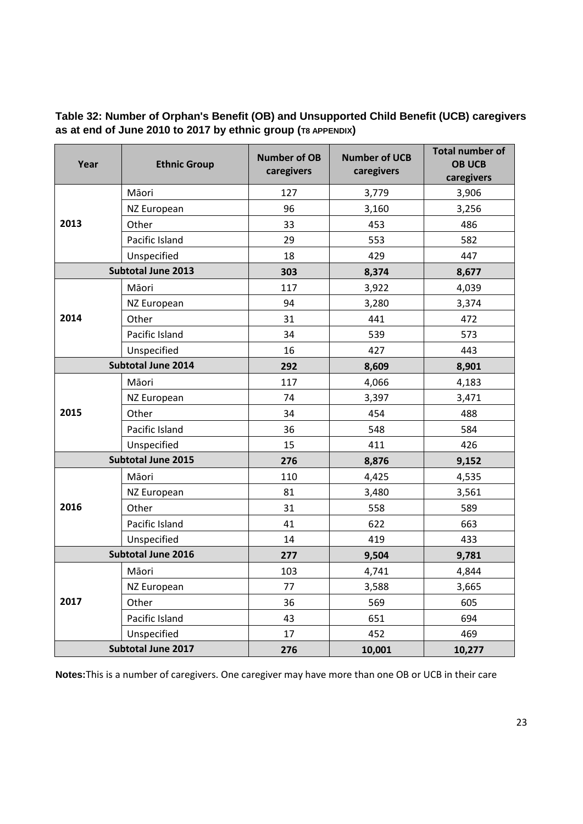#### <span id="page-22-0"></span>**Table 32: Number of Orphan's Benefit (OB) and Unsupported Child Benefit (UCB) caregivers as at end of June 2010 to 2017 by ethnic group (T8 APPENDIX)**

| Year | <b>Ethnic Group</b>       | <b>Number of OB</b><br>caregivers | <b>Number of UCB</b><br>caregivers | <b>Total number of</b><br><b>OB UCB</b><br>caregivers |
|------|---------------------------|-----------------------------------|------------------------------------|-------------------------------------------------------|
| 2013 | Māori                     | 127                               | 3,779                              | 3,906                                                 |
|      | NZ European               | 96                                | 3,160                              | 3,256                                                 |
|      | Other                     | 33                                | 453                                | 486                                                   |
|      | Pacific Island            | 29                                | 553                                | 582                                                   |
|      | Unspecified               | 18                                | 429                                | 447                                                   |
|      | Subtotal June 2013        | 303                               | 8,374                              | 8,677                                                 |
|      | Māori                     | 117                               | 3,922                              | 4,039                                                 |
|      | NZ European               | 94                                | 3,280                              | 3,374                                                 |
| 2014 | Other                     | 31                                | 441                                | 472                                                   |
|      | Pacific Island            | 34                                | 539                                | 573                                                   |
|      | Unspecified               | 16                                | 427                                | 443                                                   |
|      | <b>Subtotal June 2014</b> | 292                               | 8,609                              | 8,901                                                 |
|      | Māori                     | 117                               | 4,066                              | 4,183                                                 |
| 2015 | NZ European               | 74                                | 3,397                              | 3,471                                                 |
|      | Other                     | 34                                | 454                                | 488                                                   |
|      | Pacific Island            | 36                                | 548                                | 584                                                   |
|      | Unspecified               | 15                                | 411                                | 426                                                   |
|      | <b>Subtotal June 2015</b> | 276                               | 8,876                              | 9,152                                                 |
|      | Māori                     | 110                               | 4,425                              | 4,535                                                 |
|      | NZ European               | 81                                | 3,480                              | 3,561                                                 |
| 2016 | Other                     | 31                                | 558                                | 589                                                   |
|      | Pacific Island            | 41                                | 622                                | 663                                                   |
|      | Unspecified               | 14                                | 419                                | 433                                                   |
|      | Subtotal June 2016        | 277                               | 9,504                              | 9,781                                                 |
| 2017 | Māori                     | 103                               | 4,741                              | 4,844                                                 |
|      | NZ European               | 77                                | 3,588                              | 3,665                                                 |
|      | Other                     | 36                                | 569                                | 605                                                   |
|      | Pacific Island            | 43                                | 651                                | 694                                                   |
|      | Unspecified               | 17                                | 452                                | 469                                                   |
|      | Subtotal June 2017        | 276                               | 10,001                             | 10,277                                                |

**Notes:**This is a number of caregivers. One caregiver may have more than one OB or UCB in their care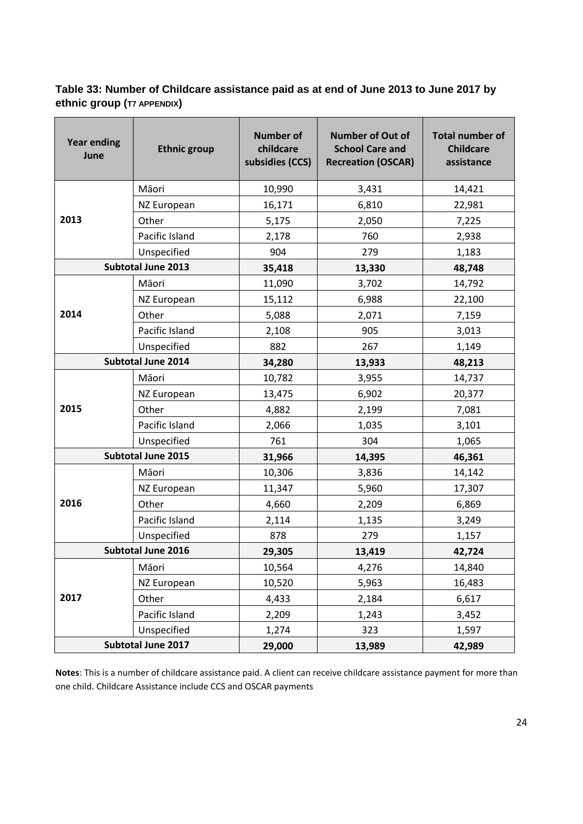#### <span id="page-23-0"></span>**Table 33: Number of Childcare assistance paid as at end of June 2013 to June 2017 by ethnic group (T7 APPENDIX)**

| <b>Year ending</b><br>June | <b>Ethnic group</b>       | <b>Number of</b><br>childcare<br>subsidies (CCS) | <b>Number of Out of</b><br><b>School Care and</b><br><b>Recreation (OSCAR)</b> | <b>Total number of</b><br><b>Childcare</b><br>assistance |
|----------------------------|---------------------------|--------------------------------------------------|--------------------------------------------------------------------------------|----------------------------------------------------------|
|                            | Māori                     | 10,990                                           | 3,431                                                                          | 14,421                                                   |
|                            | NZ European               | 16,171                                           | 6,810                                                                          | 22,981                                                   |
| 2013                       | Other                     | 5,175                                            | 2,050                                                                          | 7,225                                                    |
|                            | Pacific Island            | 2,178                                            | 760                                                                            | 2,938                                                    |
|                            | Unspecified               | 904                                              | 279                                                                            | 1,183                                                    |
|                            | Subtotal June 2013        | 35,418                                           | 13,330                                                                         | 48,748                                                   |
|                            | Māori                     | 11,090                                           | 3,702                                                                          | 14,792                                                   |
|                            | NZ European               | 15,112                                           | 6,988                                                                          | 22,100                                                   |
| 2014                       | Other                     | 5,088                                            | 2,071                                                                          | 7,159                                                    |
|                            | Pacific Island            | 2,108                                            | 905                                                                            | 3,013                                                    |
|                            | Unspecified               | 882                                              | 267                                                                            | 1,149                                                    |
| <b>Subtotal June 2014</b>  |                           | 34,280                                           | 13,933                                                                         | 48,213                                                   |
|                            | Māori                     | 10,782                                           | 3,955                                                                          | 14,737                                                   |
|                            | NZ European               | 13,475                                           | 6,902                                                                          | 20,377                                                   |
| 2015                       | Other                     | 4,882                                            | 2,199                                                                          | 7,081                                                    |
|                            | Pacific Island            | 2,066                                            | 1,035                                                                          | 3,101                                                    |
|                            | Unspecified               | 761                                              | 304                                                                            | 1,065                                                    |
|                            | <b>Subtotal June 2015</b> | 31,966                                           | 14,395                                                                         | 46,361                                                   |
|                            | Māori                     | 10,306                                           | 3,836                                                                          | 14,142                                                   |
|                            | NZ European               | 11,347                                           | 5,960                                                                          | 17,307                                                   |
| 2016                       | Other                     | 4,660                                            | 2,209                                                                          | 6,869                                                    |
|                            | Pacific Island            | 2,114                                            | 1,135                                                                          | 3,249                                                    |
|                            | Unspecified               | 878                                              | 279                                                                            | 1,157                                                    |
|                            | <b>Subtotal June 2016</b> | 29,305                                           | 13,419                                                                         | 42,724                                                   |
|                            | Māori                     | 10,564                                           | 4,276                                                                          | 14,840                                                   |
| 2017                       | NZ European               | 10,520                                           | 5,963                                                                          | 16,483                                                   |
|                            | Other                     | 4,433                                            | 2,184                                                                          | 6,617                                                    |
|                            | Pacific Island            | 2,209                                            | 1,243                                                                          | 3,452                                                    |
|                            | Unspecified               | 1,274                                            | 323                                                                            | 1,597                                                    |
|                            | Subtotal June 2017        | 29,000                                           | 13,989                                                                         | 42,989                                                   |

**Notes**: This is a number of childcare assistance paid. A client can receive childcare assistance payment for more than one child. Childcare Assistance include CCS and OSCAR payments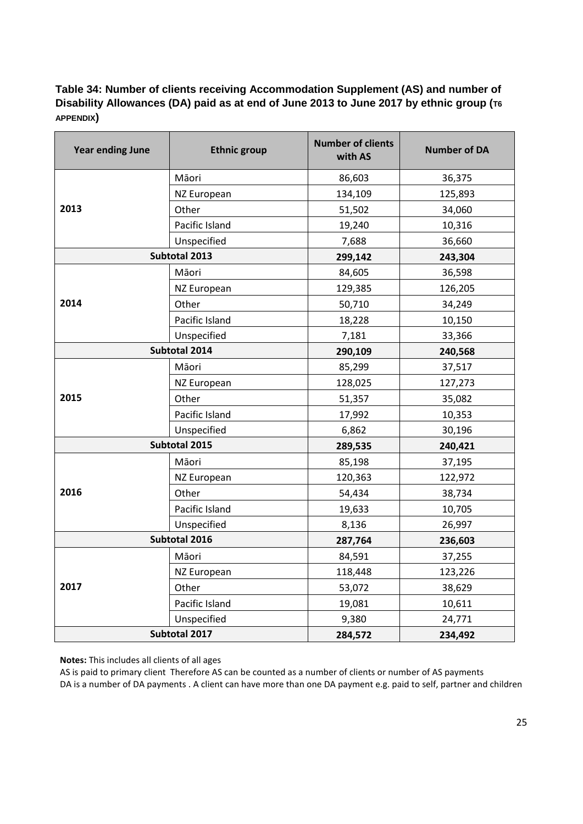#### <span id="page-24-0"></span>**Table 34: Number of clients receiving Accommodation Supplement (AS) and number of Disability Allowances (DA) paid as at end of June 2013 to June 2017 by ethnic group (T6 APPENDIX)**

| <b>Year ending June</b> | <b>Ethnic group</b>    | <b>Number of clients</b><br>with AS | <b>Number of DA</b> |
|-------------------------|------------------------|-------------------------------------|---------------------|
|                         | Māori                  | 86,603                              | 36,375              |
|                         | 134,109<br>NZ European |                                     | 125,893             |
| 2013                    | Other                  | 51,502                              | 34,060              |
|                         | Pacific Island         | 19,240                              | 10,316              |
|                         | Unspecified<br>7,688   |                                     | 36,660              |
|                         | Subtotal 2013          | 299,142                             | 243,304             |
|                         | Māori                  | 84,605                              | 36,598              |
|                         | NZ European            | 129,385                             | 126,205             |
| 2014                    | Other                  | 50,710                              | 34,249              |
|                         | Pacific Island         | 18,228                              | 10,150              |
|                         | Unspecified            | 7,181                               | 33,366              |
|                         | Subtotal 2014          | 290,109                             | 240,568             |
|                         | Māori                  | 85,299                              | 37,517              |
|                         | NZ European            | 128,025                             | 127,273             |
| 2015                    | Other                  | 51,357                              | 35,082              |
|                         | Pacific Island         | 17,992                              | 10,353              |
|                         | Unspecified            | 6,862                               | 30,196              |
|                         | Subtotal 2015          | 289,535                             | 240,421             |
|                         | Māori                  | 85,198                              | 37,195              |
|                         | NZ European            | 120,363                             | 122,972             |
| 2016                    | Other                  | 54,434                              | 38,734              |
|                         | Pacific Island         | 19,633                              | 10,705              |
|                         | Unspecified            | 8,136                               | 26,997              |
| Subtotal 2016           |                        | 287,764                             | 236,603             |
|                         | Māori                  | 84,591                              | 37,255              |
|                         | NZ European            | 118,448                             | 123,226             |
| 2017                    | Other                  | 53,072                              | 38,629              |
|                         | Pacific Island         | 19,081                              | 10,611              |
|                         | Unspecified            | 9,380                               | 24,771              |
| Subtotal 2017           |                        | 284,572                             | 234,492             |

**Notes:** This includes all clients of all ages

AS is paid to primary client Therefore AS can be counted as a number of clients or number of AS payments DA is a number of DA payments . A client can have more than one DA payment e.g. paid to self, partner and children